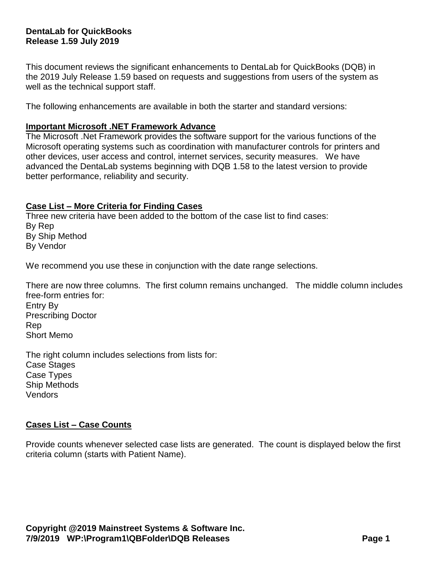# **DentaLab for QuickBooks Release 1.59 July 2019**

This document reviews the significant enhancements to DentaLab for QuickBooks (DQB) in the 2019 July Release 1.59 based on requests and suggestions from users of the system as well as the technical support staff.

The following enhancements are available in both the starter and standard versions:

#### **Important Microsoft .NET Framework Advance**

The Microsoft .Net Framework provides the software support for the various functions of the Microsoft operating systems such as coordination with manufacturer controls for printers and other devices, user access and control, internet services, security measures. We have advanced the DentaLab systems beginning with DQB 1.58 to the latest version to provide better performance, reliability and security.

# **Case List – More Criteria for Finding Cases**

Three new criteria have been added to the bottom of the case list to find cases: By Rep By Ship Method By Vendor

We recommend you use these in conjunction with the date range selections.

There are now three columns. The first column remains unchanged. The middle column includes free-form entries for: Entry By Prescribing Doctor Rep Short Memo

The right column includes selections from lists for: Case Stages Case Types Ship Methods Vendors

#### **Cases List – Case Counts**

Provide counts whenever selected case lists are generated. The count is displayed below the first criteria column (starts with Patient Name).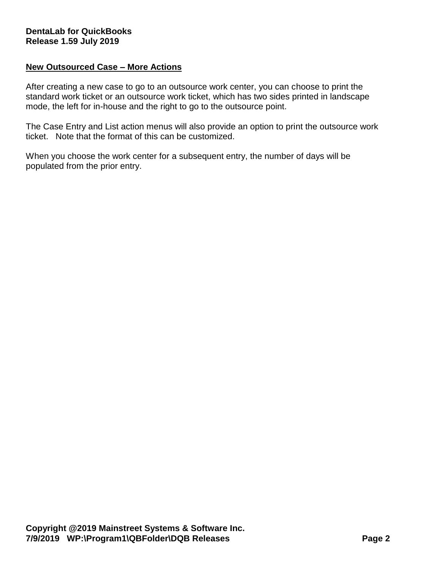# **New Outsourced Case – More Actions**

After creating a new case to go to an outsource work center, you can choose to print the standard work ticket or an outsource work ticket, which has two sides printed in landscape mode, the left for in-house and the right to go to the outsource point.

The Case Entry and List action menus will also provide an option to print the outsource work ticket. Note that the format of this can be customized.

When you choose the work center for a subsequent entry, the number of days will be populated from the prior entry.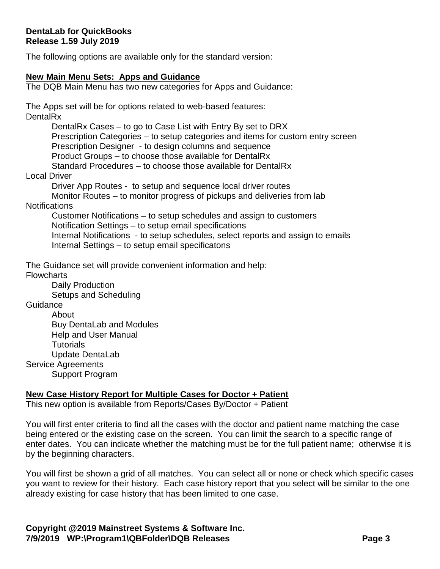The following options are available only for the standard version:

#### **New Main Menu Sets: Apps and Guidance**

The DQB Main Menu has two new categories for Apps and Guidance:

The Apps set will be for options related to web-based features: **DentalRx** 

> DentalRx Cases – to go to Case List with Entry By set to DRX Prescription Categories – to setup categories and items for custom entry screen Prescription Designer - to design columns and sequence Product Groups – to choose those available for DentalRx Standard Procedures – to choose those available for DentalRx

#### Local Driver

Driver App Routes - to setup and sequence local driver routes Monitor Routes – to monitor progress of pickups and deliveries from lab

# **Notifications**

Customer Notifications – to setup schedules and assign to customers Notification Settings – to setup email specifications Internal Notifications - to setup schedules, select reports and assign to emails Internal Settings – to setup email specificatons

The Guidance set will provide convenient information and help: **Flowcharts** 

> Daily Production Setups and Scheduling

**Guidance** 

About Buy DentaLab and Modules Help and User Manual **Tutorials** Update DentaLab Service Agreements

Support Program

# **New Case History Report for Multiple Cases for Doctor + Patient**

This new option is available from Reports/Cases By/Doctor + Patient

You will first enter criteria to find all the cases with the doctor and patient name matching the case being entered or the existing case on the screen. You can limit the search to a specific range of enter dates. You can indicate whether the matching must be for the full patient name; otherwise it is by the beginning characters.

You will first be shown a grid of all matches. You can select all or none or check which specific cases you want to review for their history. Each case history report that you select will be similar to the one already existing for case history that has been limited to one case.